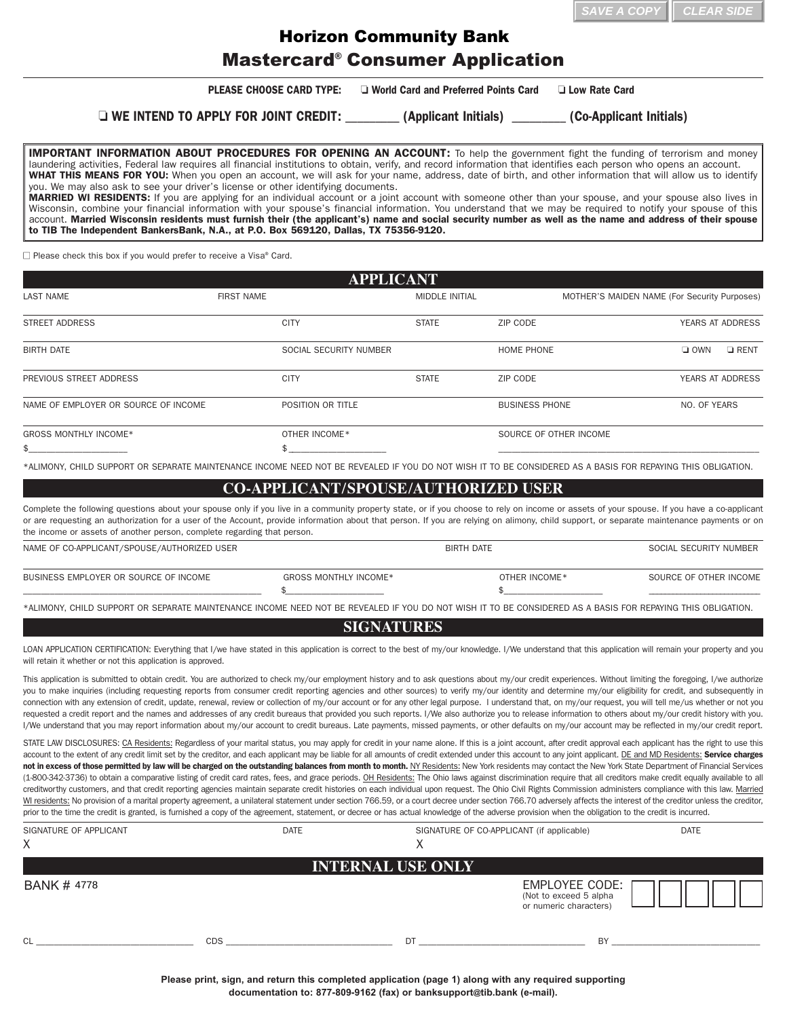| $\parallel$ SAVE A COPY $\parallel$ CLEAR SIDE |  |
|------------------------------------------------|--|
|------------------------------------------------|--|

## Mastercard® Consumer Application Horizon Community Bank

|                                                                                                                                                                                                                                                                                                                                                                                                                                                                                                                                                                                                                                                                                                                                                                                                                                                                                                                                                                                                                                                                                                                                                                                                                                                                                                                                                                                                                                                                                                                         |                                                                                                        |                                        |                                           | SAVE A COP                                   | <b>CLEAR SIDE</b>      |                  |
|-------------------------------------------------------------------------------------------------------------------------------------------------------------------------------------------------------------------------------------------------------------------------------------------------------------------------------------------------------------------------------------------------------------------------------------------------------------------------------------------------------------------------------------------------------------------------------------------------------------------------------------------------------------------------------------------------------------------------------------------------------------------------------------------------------------------------------------------------------------------------------------------------------------------------------------------------------------------------------------------------------------------------------------------------------------------------------------------------------------------------------------------------------------------------------------------------------------------------------------------------------------------------------------------------------------------------------------------------------------------------------------------------------------------------------------------------------------------------------------------------------------------------|--------------------------------------------------------------------------------------------------------|----------------------------------------|-------------------------------------------|----------------------------------------------|------------------------|------------------|
|                                                                                                                                                                                                                                                                                                                                                                                                                                                                                                                                                                                                                                                                                                                                                                                                                                                                                                                                                                                                                                                                                                                                                                                                                                                                                                                                                                                                                                                                                                                         | <b>Horizon Community Bank</b>                                                                          |                                        |                                           |                                              |                        |                  |
|                                                                                                                                                                                                                                                                                                                                                                                                                                                                                                                                                                                                                                                                                                                                                                                                                                                                                                                                                                                                                                                                                                                                                                                                                                                                                                                                                                                                                                                                                                                         | <b>Mastercard<sup>®</sup> Consumer Application</b>                                                     |                                        |                                           |                                              |                        |                  |
|                                                                                                                                                                                                                                                                                                                                                                                                                                                                                                                                                                                                                                                                                                                                                                                                                                                                                                                                                                                                                                                                                                                                                                                                                                                                                                                                                                                                                                                                                                                         | <b>PLEASE CHOOSE CARD TYPE:</b>                                                                        | □ World Card and Preferred Points Card |                                           | <b>Low Rate Card</b>                         |                        |                  |
|                                                                                                                                                                                                                                                                                                                                                                                                                                                                                                                                                                                                                                                                                                                                                                                                                                                                                                                                                                                                                                                                                                                                                                                                                                                                                                                                                                                                                                                                                                                         | □ WE INTEND TO APPLY FOR JOINT CREDIT: _________ (Applicant Initials) ________ (Co-Applicant Initials) |                                        |                                           |                                              |                        |                  |
| <b>IMPORTANT INFORMATION ABOUT PROCEDURES FOR OPENING AN ACCOUNT:</b> To help the government fight the funding of terrorism and money<br>laundering activities, Federal law requires all financial institutions to obtain, verify, and record information that identifies each person who opens an account.<br>WHAT THIS MEANS FOR YOU: When you open an account, we will ask for your name, address, date of birth, and other information that will allow us to identify<br>you. We may also ask to see your driver's license or other identifying documents.<br>MARRIED WI RESIDENTS: If you are applying for an individual account or a joint account with someone other than your spouse, and your spouse also lives in<br>Wisconsin, combine your financial information with your spouse's financial information. You understand that we may be required to notify your spouse of this<br>account. Married Wisconsin residents must furnish their (the applicant's) name and social security number as well as the name and address of their spouse<br>to TIB The Independent BankersBank, N.A., at P.O. Box 569120, Dallas, TX 75356-9120.                                                                                                                                                                                                                                                                                                                                                                        |                                                                                                        |                                        |                                           |                                              |                        |                  |
| $\Box$ Please check this box if you would prefer to receive a Visa® Card.                                                                                                                                                                                                                                                                                                                                                                                                                                                                                                                                                                                                                                                                                                                                                                                                                                                                                                                                                                                                                                                                                                                                                                                                                                                                                                                                                                                                                                               |                                                                                                        |                                        |                                           |                                              |                        |                  |
|                                                                                                                                                                                                                                                                                                                                                                                                                                                                                                                                                                                                                                                                                                                                                                                                                                                                                                                                                                                                                                                                                                                                                                                                                                                                                                                                                                                                                                                                                                                         |                                                                                                        | <b>APPLICANT</b>                       |                                           |                                              |                        |                  |
| <b>LAST NAME</b>                                                                                                                                                                                                                                                                                                                                                                                                                                                                                                                                                                                                                                                                                                                                                                                                                                                                                                                                                                                                                                                                                                                                                                                                                                                                                                                                                                                                                                                                                                        | <b>FIRST NAME</b>                                                                                      | <b>MIDDLE INITIAL</b>                  |                                           | MOTHER'S MAIDEN NAME (For Security Purposes) |                        |                  |
| <b>STREET ADDRESS</b>                                                                                                                                                                                                                                                                                                                                                                                                                                                                                                                                                                                                                                                                                                                                                                                                                                                                                                                                                                                                                                                                                                                                                                                                                                                                                                                                                                                                                                                                                                   | <b>CITY</b>                                                                                            | <b>STATE</b>                           | ZIP CODE                                  |                                              |                        | YEARS AT ADDRESS |
| <b>BIRTH DATE</b>                                                                                                                                                                                                                                                                                                                                                                                                                                                                                                                                                                                                                                                                                                                                                                                                                                                                                                                                                                                                                                                                                                                                                                                                                                                                                                                                                                                                                                                                                                       | SOCIAL SECURITY NUMBER                                                                                 |                                        | HOME PHONE                                |                                              | $\Box$ OWN             | $\Box$ RENT      |
| PREVIOUS STREET ADDRESS                                                                                                                                                                                                                                                                                                                                                                                                                                                                                                                                                                                                                                                                                                                                                                                                                                                                                                                                                                                                                                                                                                                                                                                                                                                                                                                                                                                                                                                                                                 | <b>CITY</b>                                                                                            | <b>STATE</b>                           | ZIP CODE                                  |                                              |                        | YEARS AT ADDRESS |
| NAME OF EMPLOYER OR SOURCE OF INCOME                                                                                                                                                                                                                                                                                                                                                                                                                                                                                                                                                                                                                                                                                                                                                                                                                                                                                                                                                                                                                                                                                                                                                                                                                                                                                                                                                                                                                                                                                    | POSITION OR TITLE                                                                                      |                                        | <b>BUSINESS PHONE</b>                     |                                              | NO. OF YEARS           |                  |
| GROSS MONTHLY INCOME*                                                                                                                                                                                                                                                                                                                                                                                                                                                                                                                                                                                                                                                                                                                                                                                                                                                                                                                                                                                                                                                                                                                                                                                                                                                                                                                                                                                                                                                                                                   | OTHER INCOME*                                                                                          |                                        | SOURCE OF OTHER INCOME                    |                                              |                        |                  |
| *ALIMONY, CHILD SUPPORT OR SEPARATE MAINTENANCE INCOME NEED NOT BE REVEALED IF YOU DO NOT WISH IT TO BE CONSIDERED AS A BASIS FOR REPAYING THIS OBLIGATION.                                                                                                                                                                                                                                                                                                                                                                                                                                                                                                                                                                                                                                                                                                                                                                                                                                                                                                                                                                                                                                                                                                                                                                                                                                                                                                                                                             |                                                                                                        |                                        |                                           |                                              |                        |                  |
|                                                                                                                                                                                                                                                                                                                                                                                                                                                                                                                                                                                                                                                                                                                                                                                                                                                                                                                                                                                                                                                                                                                                                                                                                                                                                                                                                                                                                                                                                                                         | <b>CO-APPLICANT/SPOUSE/AUTHORIZED USER</b>                                                             |                                        |                                           |                                              |                        |                  |
| Complete the following questions about your spouse only if you live in a community property state, or if you choose to rely on income or assets of your spouse. If you have a co-applicant<br>or are requesting an authorization for a user of the Account, provide information about that person. If you are relying on alimony, child support, or separate maintenance payments or on<br>the income or assets of another person, complete regarding that person.                                                                                                                                                                                                                                                                                                                                                                                                                                                                                                                                                                                                                                                                                                                                                                                                                                                                                                                                                                                                                                                      |                                                                                                        |                                        |                                           |                                              |                        |                  |
| NAME OF CO-APPLICANT/SPOUSE/AUTHORIZED USER                                                                                                                                                                                                                                                                                                                                                                                                                                                                                                                                                                                                                                                                                                                                                                                                                                                                                                                                                                                                                                                                                                                                                                                                                                                                                                                                                                                                                                                                             |                                                                                                        | <b>BIRTH DATE</b>                      |                                           |                                              | SOCIAL SECURITY NUMBER |                  |
| BUSINESS EMPLOYER OR SOURCE OF INCOME                                                                                                                                                                                                                                                                                                                                                                                                                                                                                                                                                                                                                                                                                                                                                                                                                                                                                                                                                                                                                                                                                                                                                                                                                                                                                                                                                                                                                                                                                   | <b>GROSS MONTHLY INCOME*</b><br>\$                                                                     |                                        | OTHER INCOME*<br>£.                       |                                              | SOURCE OF OTHER INCOME |                  |
| *ALIMONY, CHILD SUPPORT OR SEPARATE MAINTENANCE INCOME NEED NOT BE REVEALED IF YOU DO NOT WISH IT TO BE CONSIDERED AS A BASIS FOR REPAYING THIS OBLIGATION.                                                                                                                                                                                                                                                                                                                                                                                                                                                                                                                                                                                                                                                                                                                                                                                                                                                                                                                                                                                                                                                                                                                                                                                                                                                                                                                                                             |                                                                                                        |                                        |                                           |                                              |                        |                  |
|                                                                                                                                                                                                                                                                                                                                                                                                                                                                                                                                                                                                                                                                                                                                                                                                                                                                                                                                                                                                                                                                                                                                                                                                                                                                                                                                                                                                                                                                                                                         |                                                                                                        | <b>SIGNATURES</b>                      |                                           |                                              |                        |                  |
| LOAN APPLICATION CERTIFICATION: Everything that I/we have stated in this application is correct to the best of my/our knowledge. I/We understand that this application will remain your property and you<br>will retain it whether or not this application is approved.                                                                                                                                                                                                                                                                                                                                                                                                                                                                                                                                                                                                                                                                                                                                                                                                                                                                                                                                                                                                                                                                                                                                                                                                                                                 |                                                                                                        |                                        |                                           |                                              |                        |                  |
| This application is submitted to obtain credit. You are authorized to check my/our employment history and to ask questions about my/our credit experiences. Without limiting the foregoing, I/we authorize<br>you to make inquiries (including requesting reports from consumer credit reporting agencies and other sources) to verify my/our identity and determine my/our eligibility for credit, and subsequently in<br>connection with any extension of credit, update, renewal, review or collection of my/our account or for any other legal purpose. I understand that, on my/our request, you will tell me/us whether or not you<br>requested a credit report and the names and addresses of any credit bureaus that provided you such reports. I/We also authorize you to release information to others about my/our credit history with you.<br>I/We understand that you may report information about my/our account to credit bureaus. Late payments, missed payments, or other defaults on my/our account may be reflected in my/our credit report.                                                                                                                                                                                                                                                                                                                                                                                                                                                         |                                                                                                        |                                        |                                           |                                              |                        |                  |
| STATE LAW DISCLOSURES: CA Residents: Regardless of your marital status, you may apply for credit in your name alone. If this is a joint account, after credit approval each applicant has the right to use this<br>account to the extent of any credit limit set by the creditor, and each applicant may be liable for all amounts of credit extended under this account to any joint applicant. DE and MD Residents: Service charges<br>not in excess of those permitted by law will be charged on the outstanding balances from month to month. NY Residents: New York residents may contact the New York State Department of Financial Services<br>(1-800-342-3736) to obtain a comparative listing of credit card rates, fees, and grace periods. OH Residents: The Ohio laws against discrimination require that all creditors make credit equally available to all<br>creditworthy customers, and that credit reporting agencies maintain separate credit histories on each individual upon request. The Ohio Civil Rights Commission administers compliance with this law. Married<br>WI residents: No provision of a marital property agreement, a unilateral statement under section 766.59, or a court decree under section 766.70 adversely affects the interest of the creditor unless the creditor,<br>prior to the time the credit is granted, is furnished a copy of the agreement, statement, or decree or has actual knowledge of the adverse provision when the obligation to the credit is incurred. |                                                                                                        |                                        |                                           |                                              |                        |                  |
| SIGNATURE OF APPLICANT<br>X                                                                                                                                                                                                                                                                                                                                                                                                                                                                                                                                                                                                                                                                                                                                                                                                                                                                                                                                                                                                                                                                                                                                                                                                                                                                                                                                                                                                                                                                                             | DATE                                                                                                   | X                                      | SIGNATURE OF CO-APPLICANT (if applicable) |                                              | <b>DATE</b>            |                  |
|                                                                                                                                                                                                                                                                                                                                                                                                                                                                                                                                                                                                                                                                                                                                                                                                                                                                                                                                                                                                                                                                                                                                                                                                                                                                                                                                                                                                                                                                                                                         |                                                                                                        |                                        |                                           |                                              |                        |                  |
|                                                                                                                                                                                                                                                                                                                                                                                                                                                                                                                                                                                                                                                                                                                                                                                                                                                                                                                                                                                                                                                                                                                                                                                                                                                                                                                                                                                                                                                                                                                         |                                                                                                        | <b>INTERNAL USE ONLY</b>               |                                           |                                              |                        |                  |
| <b>BANK # 4778</b>                                                                                                                                                                                                                                                                                                                                                                                                                                                                                                                                                                                                                                                                                                                                                                                                                                                                                                                                                                                                                                                                                                                                                                                                                                                                                                                                                                                                                                                                                                      |                                                                                                        |                                        |                                           | EMPLOYEE CODE: $\Box$                        |                        |                  |

## **COAPPLICANT/SPOUSE/AUTHORIZED USER**

| NAME OF CO-APPLICANT/SPOUSE/AUTHORIZED USER |                       | <b>BIRTH DATE</b> |               | SOCIAL SECURITY NUMBER |
|---------------------------------------------|-----------------------|-------------------|---------------|------------------------|
| BUSINESS EMPLOYER OR SOURCE OF INCOME       | GROSS MONTHLY INCOME* |                   | OTHER INCOME* | SOURCE OF OTHER INCOME |
|                                             |                       |                   |               |                        |

## **SIGNATURES**

| SIGNATURE OF APPLICANT<br>X | <b>DATE</b> | SIGNATURE OF CO-APPLICANT (if applicable)<br>∧ |                                                                    | <b>DATE</b> |
|-----------------------------|-------------|------------------------------------------------|--------------------------------------------------------------------|-------------|
|                             |             | <b>INTERNAL USE ONLY</b>                       |                                                                    |             |
| BANK # 4778                 |             |                                                | EMPLOYEE CODE:<br>(Not to exceed 5 alpha<br>or numeric characters) |             |
| <sub>Cl</sub><br><b>CDS</b> |             | DT                                             | BY                                                                 |             |

**Please print, sign, and return this completed application (page 1) along with any required supporting documentation to: 8778099162 (fax) or [banksupport@](mailto:banksupport@tib.bank)tib.bank (email).**